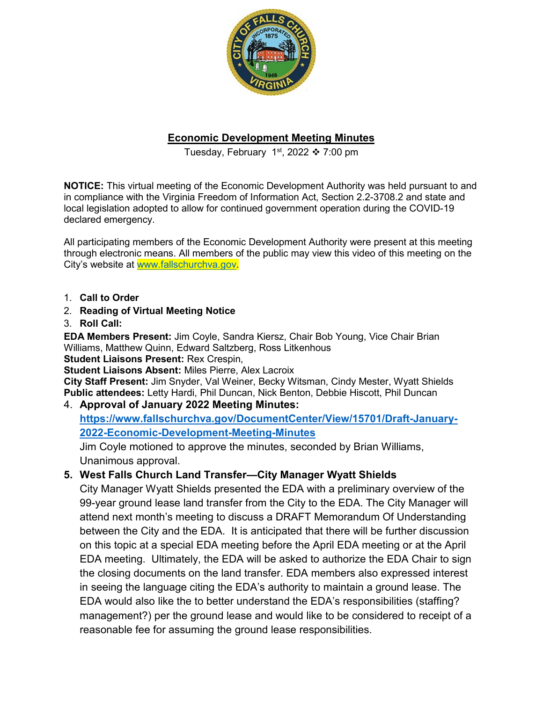

# **Economic Development Meeting Minutes**

Tuesday, February 1st, 2022  $\div$  7:00 pm

**NOTICE:** This virtual meeting of the Economic Development Authority was held pursuant to and in compliance with the Virginia Freedom of Information Act, Section 2.2-3708.2 and state and local legislation adopted to allow for continued government operation during the COVID-19 declared emergency.

All participating members of the Economic Development Authority were present at this meeting through electronic means. All members of the public may view this video of this meeting on the City's website at [www.fallschurchva.gov.](http://www.fallschurchva.gov/)

- 1. **Call to Order**
- 2. **Reading of Virtual Meeting Notice**
- 3. **Roll Call:**

**EDA Members Present:** Jim Coyle, Sandra Kiersz, Chair Bob Young, Vice Chair Brian Williams, Matthew Quinn, Edward Saltzberg, Ross Litkenhous

**Student Liaisons Present:** Rex Crespin,

**Student Liaisons Absent:** Miles Pierre, Alex Lacroix

**City Staff Present:** Jim Snyder, Val Weiner, Becky Witsman, Cindy Mester, Wyatt Shields **Public attendees:** Letty Hardi, Phil Duncan, Nick Benton, Debbie Hiscott, Phil Duncan 4. **Approval of January 2022 Meeting Minutes:** 

**[https://www.fallschurchva.gov/DocumentCenter/View/15701/Draft-January-](https://www.fallschurchva.gov/DocumentCenter/View/15701/Draft-January-2022-Economic-Development-Meeting-Minutes)[2022-Economic-Development-Meeting-Minutes](https://www.fallschurchva.gov/DocumentCenter/View/15701/Draft-January-2022-Economic-Development-Meeting-Minutes)** 

Jim Coyle motioned to approve the minutes, seconded by Brian Williams, Unanimous approval.

# **5. West Falls Church Land Transfer—City Manager Wyatt Shields**

City Manager Wyatt Shields presented the EDA with a preliminary overview of the 99-year ground lease land transfer from the City to the EDA. The City Manager will attend next month's meeting to discuss a DRAFT Memorandum Of Understanding between the City and the EDA. It is anticipated that there will be further discussion on this topic at a special EDA meeting before the April EDA meeting or at the April EDA meeting. Ultimately, the EDA will be asked to authorize the EDA Chair to sign the closing documents on the land transfer. EDA members also expressed interest in seeing the language citing the EDA's authority to maintain a ground lease. The EDA would also like the to better understand the EDA's responsibilities (staffing? management?) per the ground lease and would like to be considered to receipt of a reasonable fee for assuming the ground lease responsibilities.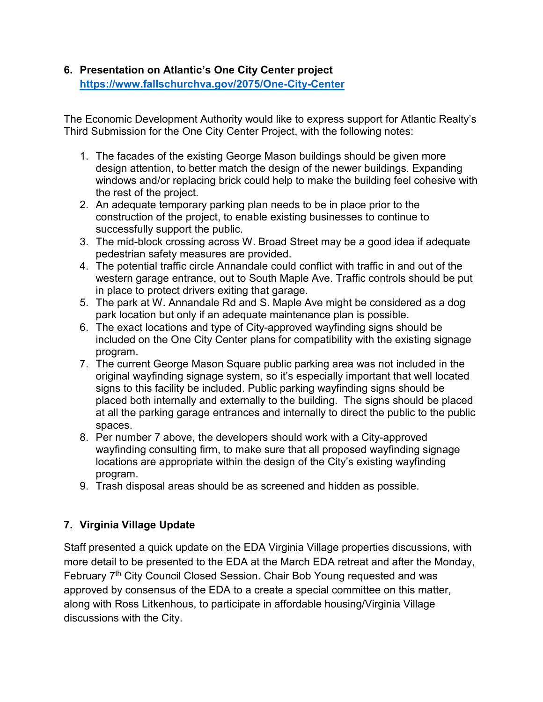#### **6. Presentation on Atlantic's One City Center project <https://www.fallschurchva.gov/2075/One-City-Center>**

The Economic Development Authority would like to express support for Atlantic Realty's Third Submission for the One City Center Project, with the following notes:

- 1. The facades of the existing George Mason buildings should be given more design attention, to better match the design of the newer buildings. Expanding windows and/or replacing brick could help to make the building feel cohesive with the rest of the project.
- 2. An adequate temporary parking plan needs to be in place prior to the construction of the project, to enable existing businesses to continue to successfully support the public.
- 3. The mid-block crossing across W. Broad Street may be a good idea if adequate pedestrian safety measures are provided.
- 4. The potential traffic circle Annandale could conflict with traffic in and out of the western garage entrance, out to South Maple Ave. Traffic controls should be put in place to protect drivers exiting that garage.
- 5. The park at W. Annandale Rd and S. Maple Ave might be considered as a dog park location but only if an adequate maintenance plan is possible.
- 6. The exact locations and type of City-approved wayfinding signs should be included on the One City Center plans for compatibility with the existing signage program.
- 7. The current George Mason Square public parking area was not included in the original wayfinding signage system, so it's especially important that well located signs to this facility be included. Public parking wayfinding signs should be placed both internally and externally to the building. The signs should be placed at all the parking garage entrances and internally to direct the public to the public spaces.
- 8. Per number 7 above, the developers should work with a City-approved wayfinding consulting firm, to make sure that all proposed wayfinding signage locations are appropriate within the design of the City's existing wayfinding program.
- 9. Trash disposal areas should be as screened and hidden as possible.

# **7. Virginia Village Update**

Staff presented a quick update on the EDA Virginia Village properties discussions, with more detail to be presented to the EDA at the March EDA retreat and after the Monday, February 7<sup>th</sup> City Council Closed Session. Chair Bob Young requested and was approved by consensus of the EDA to a create a special committee on this matter, along with Ross Litkenhous, to participate in affordable housing/Virginia Village discussions with the City.